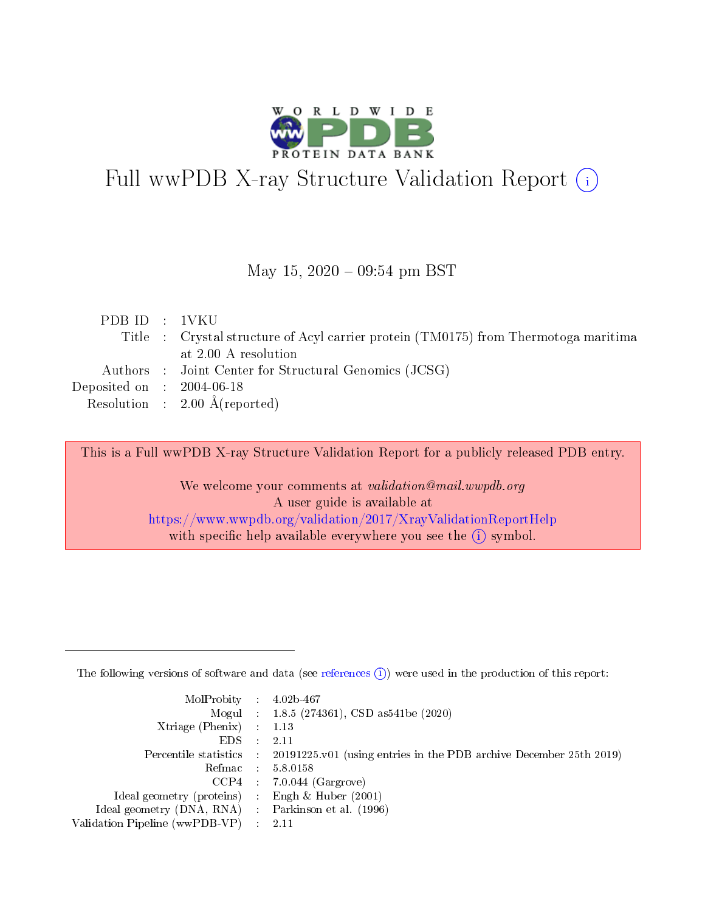

# Full wwPDB X-ray Structure Validation Report (i)

#### May 15,  $2020 - 09:54$  pm BST

| PDBID : 1VKU                         |                                                                                     |
|--------------------------------------|-------------------------------------------------------------------------------------|
|                                      | Title : Crystal structure of Acyl carrier protein (TM0175) from Thermotoga maritima |
|                                      | at 2.00 A resolution                                                                |
|                                      | Authors : Joint Center for Structural Genomics (JCSG)                               |
| Deposited on $\therefore$ 2004-06-18 |                                                                                     |
|                                      | Resolution : $2.00 \text{ Å}$ (reported)                                            |
|                                      |                                                                                     |

This is a Full wwPDB X-ray Structure Validation Report for a publicly released PDB entry.

We welcome your comments at validation@mail.wwpdb.org A user guide is available at <https://www.wwpdb.org/validation/2017/XrayValidationReportHelp> with specific help available everywhere you see the  $(i)$  symbol.

The following versions of software and data (see [references](https://www.wwpdb.org/validation/2017/XrayValidationReportHelp#references)  $(1)$ ) were used in the production of this report:

| $MolProbability$ : 4.02b-467                      |                              |                                                                                            |
|---------------------------------------------------|------------------------------|--------------------------------------------------------------------------------------------|
|                                                   |                              | Mogul : 1.8.5 (274361), CSD as 541be (2020)                                                |
| Xtriage (Phenix) $: 1.13$                         |                              |                                                                                            |
| EDS –                                             | -11                          | -2.11                                                                                      |
|                                                   |                              | Percentile statistics : 20191225.v01 (using entries in the PDB archive December 25th 2019) |
| Refmac : 5.8.0158                                 |                              |                                                                                            |
| CCP4                                              |                              | $7.0.044$ (Gargrove)                                                                       |
| Ideal geometry (proteins)                         | $\mathcal{L}_{\mathrm{eff}}$ | Engh & Huber $(2001)$                                                                      |
| Ideal geometry (DNA, RNA) Parkinson et al. (1996) |                              |                                                                                            |
| Validation Pipeline (wwPDB-VP) : 2.11             |                              |                                                                                            |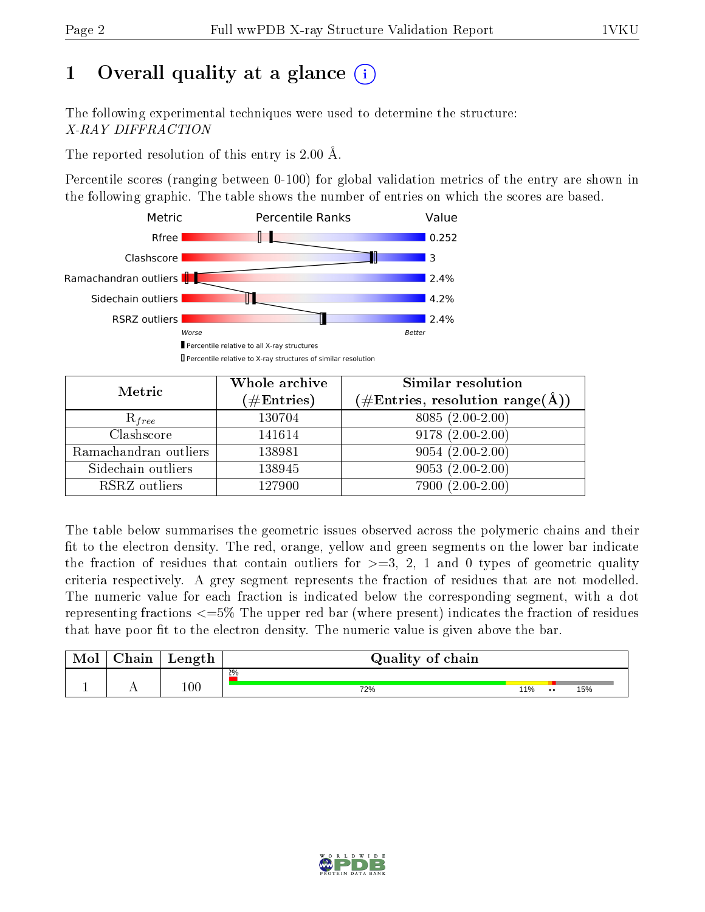# 1 [O](https://www.wwpdb.org/validation/2017/XrayValidationReportHelp#overall_quality)verall quality at a glance  $(i)$

The following experimental techniques were used to determine the structure: X-RAY DIFFRACTION

The reported resolution of this entry is 2.00 Å.

Percentile scores (ranging between 0-100) for global validation metrics of the entry are shown in the following graphic. The table shows the number of entries on which the scores are based.



| Metric                | Whole archive<br>$(\#\text{Entries})$ | Similar resolution<br>$(\#\text{Entries},\, \text{resolution}\; \text{range}(\textup{\AA}))$ |  |  |
|-----------------------|---------------------------------------|----------------------------------------------------------------------------------------------|--|--|
| $R_{free}$            | 130704                                | $8085(2.00-2.00)$                                                                            |  |  |
| Clashscore            | 141614                                | $9178(2.00-2.00)$                                                                            |  |  |
| Ramachandran outliers | 138981                                | $9054(2.00-2.00)$                                                                            |  |  |
| Sidechain outliers    | 138945                                | $9053(2.00-2.00)$                                                                            |  |  |
| RSRZ outliers         | 127900                                | 7900 (2.00-2.00)                                                                             |  |  |

The table below summarises the geometric issues observed across the polymeric chains and their fit to the electron density. The red, orange, yellow and green segments on the lower bar indicate the fraction of residues that contain outliers for  $>=3, 2, 1$  and 0 types of geometric quality criteria respectively. A grey segment represents the fraction of residues that are not modelled. The numeric value for each fraction is indicated below the corresponding segment, with a dot representing fractions  $\epsilon=5\%$  The upper red bar (where present) indicates the fraction of residues that have poor fit to the electron density. The numeric value is given above the bar.

| Mol | $\cap$ hain | Length  | Quality of chain |     |               |     |
|-----|-------------|---------|------------------|-----|---------------|-----|
|     |             |         | $2\%$            |     |               |     |
|     |             | $100\,$ | 72%              | 11% | $\cdot \cdot$ | 15% |

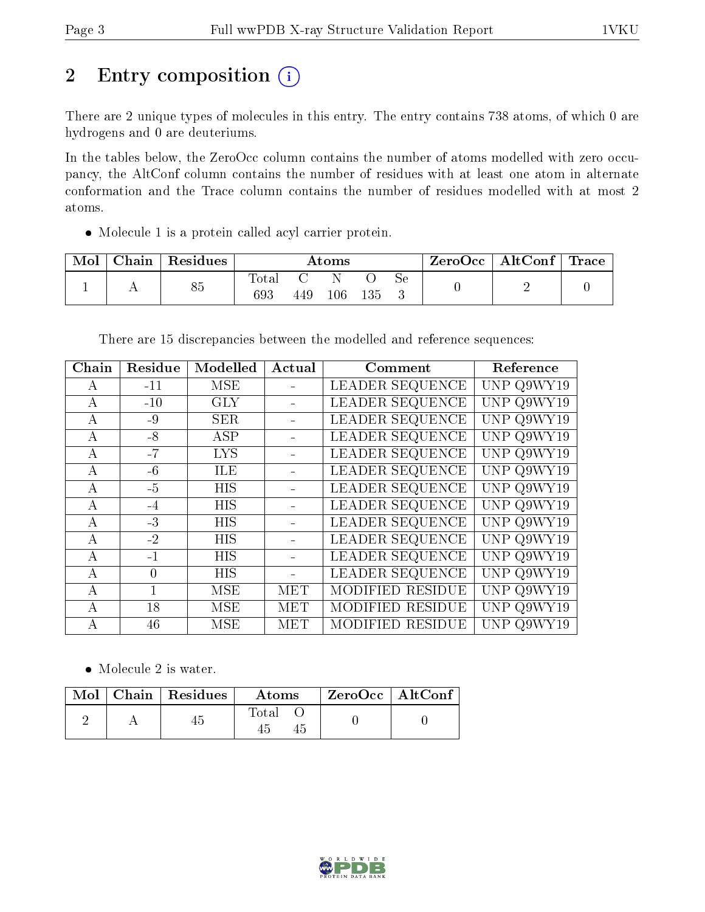# 2 Entry composition  $(i)$

There are 2 unique types of molecules in this entry. The entry contains 738 atoms, of which 0 are hydrogens and 0 are deuteriums.

In the tables below, the ZeroOcc column contains the number of atoms modelled with zero occupancy, the AltConf column contains the number of residues with at least one atom in alternate conformation and the Trace column contains the number of residues modelled with at most 2 atoms.

Molecule 1 is a protein called acyl carrier protein.

| Mol | $\operatorname{\mathsf{Chain}}$ | Residues | Atoms               |     |         | $ZeroOcc \   \ AltConf \  $ | $^{\shortmid}$ Trace |  |  |
|-----|---------------------------------|----------|---------------------|-----|---------|-----------------------------|----------------------|--|--|
|     |                                 | 85       | <b>Total</b><br>693 | 449 | $106\,$ | 135                         | Sе                   |  |  |

There are 15 discrepancies between the modelled and reference sequences:

| Chain          | Residue      | Modelled   | Actual     | Comment                | Reference  |
|----------------|--------------|------------|------------|------------------------|------------|
| $\mathsf{A}$   | $-11$        | <b>MSE</b> |            | LEADER SEQUENCE        | UNP Q9WY19 |
| A              | $-10$        | <b>GLY</b> |            | <b>LEADER SEQUENCE</b> | UNP Q9WY19 |
| А              | -9           | <b>SER</b> |            | LEADER SEQUENCE        | UNP Q9WY19 |
| А              | $-8$         | ASP        |            | LEADER SEQUENCE        | UNP Q9WY19 |
| А              | $-7$         | <b>LYS</b> |            | LEADER SEQUENCE        | UNP Q9WY19 |
| $\bf{A}$       | $-6$         | <b>ILE</b> |            | LEADER SEQUENCE        | UNP Q9WY19 |
| A              | $-5$         | <b>HIS</b> |            | LEADER SEQUENCE        | UNP Q9WY19 |
| $\mathbf{A}$   | -4           | <b>HIS</b> |            | LEADER SEQUENCE        | UNP Q9WY19 |
| А              | $-3$         | <b>HIS</b> |            | LEADER SEQUENCE        | UNP Q9WY19 |
| $\mathbf{A}$   | $-2$         | <b>HIS</b> |            | LEADER SEQUENCE        | UNP Q9WY19 |
| А              | $-1$         | <b>HIS</b> |            | LEADER SEQUENCE        | UNP Q9WY19 |
| $\mathsf{A}$   | $\Omega$     | <b>HIS</b> |            | LEADER SEQUENCE        | UNP Q9WY19 |
| $\overline{A}$ | $\mathbf{1}$ | <b>MSE</b> | <b>MET</b> | MODIFIED RESIDUE       | UNP Q9WY19 |
| $\mathbf{A}$   | 18           | MSE        | <b>MET</b> | MODIFIED RESIDUE       | UNP Q9WY19 |
| A              | 46           | <b>MSE</b> | MET        | MODIFIED RESIDUE       | UNP Q9WY19 |

• Molecule 2 is water.

|  | $Mol$   Chain   Residues | <b>Atoms</b> | $ZeroOcc$   AltConf |
|--|--------------------------|--------------|---------------------|
|  |                          | $\rm Total$  |                     |

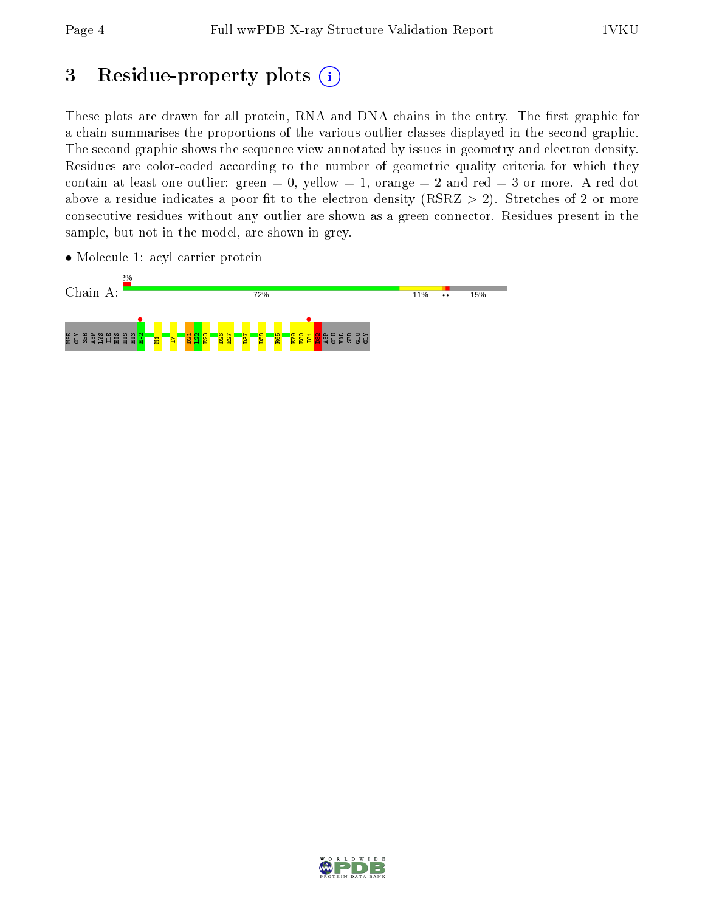# 3 Residue-property plots  $(i)$

These plots are drawn for all protein, RNA and DNA chains in the entry. The first graphic for a chain summarises the proportions of the various outlier classes displayed in the second graphic. The second graphic shows the sequence view annotated by issues in geometry and electron density. Residues are color-coded according to the number of geometric quality criteria for which they contain at least one outlier: green  $= 0$ , yellow  $= 1$ , orange  $= 2$  and red  $= 3$  or more. A red dot above a residue indicates a poor fit to the electron density (RSRZ  $> 2$ ). Stretches of 2 or more consecutive residues without any outlier are shown as a green connector. Residues present in the sample, but not in the model, are shown in grey.

• Molecule 1: acyl carrier protein



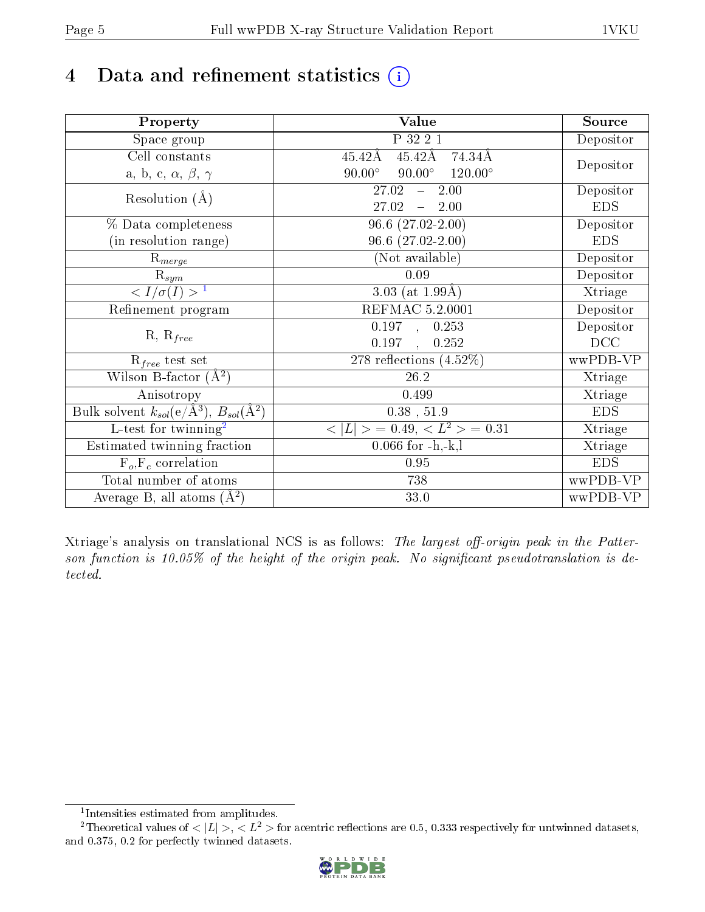# 4 Data and refinement statistics  $(i)$

| Property                                                             | Value                                            | Source     |
|----------------------------------------------------------------------|--------------------------------------------------|------------|
| Space group                                                          | P 32 2 1                                         | Depositor  |
| Cell constants                                                       | $45.42\text{\AA}$<br>74.34Å<br>$45.42\text{\AA}$ |            |
| a, b, c, $\alpha$ , $\beta$ , $\gamma$                               | $90.00^\circ$<br>$120.00^\circ$<br>$90.00^\circ$ | Depositor  |
| Resolution $(A)$                                                     | 27.02<br>2.00<br>$\frac{1}{2}$                   | Depositor  |
|                                                                      | 27.02<br>2.00<br>$\frac{1}{2}$                   | <b>EDS</b> |
| % Data completeness                                                  | $\overline{96.6 (27.02\text{-}2.00)}$            | Depositor  |
| (in resolution range)                                                | $96.6(27.02-2.00)$                               | <b>EDS</b> |
| $\mathrm{R}_{merge}$                                                 | (Not available)                                  | Depositor  |
| $\mathrm{R}_{sym}$                                                   | 0.09                                             | Depositor  |
| $\sqrt{I/\sigma(I)} > 1$                                             | 3.03 (at $1.99\text{\AA}$ )                      | Xtriage    |
| Refinement program                                                   | <b>REFMAC 5.2.0001</b>                           | Depositor  |
|                                                                      | $\overline{0.197}$ ,<br>0.253                    | Depositor  |
| $R, R_{free}$                                                        | 0.197<br>0.252<br>$\ddot{\phantom{a}}$           | DCC        |
| $R_{free}$ test set                                                  | 278 reflections $(4.52\%)$                       | wwPDB-VP   |
| Wilson B-factor $(A^2)$                                              | 26.2                                             | Xtriage    |
| Anisotropy                                                           | 0.499                                            | Xtriage    |
| Bulk solvent $k_{sol}(e/\mathring{A}^3)$ , $B_{sol}(\mathring{A}^2)$ | $0.38$ , $51.9$                                  | <b>EDS</b> |
| L-test for twinning <sup>2</sup>                                     | $< L >$ = 0.49, $< L2$ = 0.31                    | Xtriage    |
| Estimated twinning fraction                                          | $0.066$ for $-h,-k,l$                            | Xtriage    |
| $F_o, F_c$ correlation                                               | 0.95                                             | <b>EDS</b> |
| Total number of atoms                                                | 738                                              | wwPDB-VP   |
| Average B, all atoms $(A^2)$                                         | 33.0                                             | wwPDB-VP   |

Xtriage's analysis on translational NCS is as follows: The largest off-origin peak in the Patterson function is 10.05% of the height of the origin peak. No significant pseudotranslation is detected.

<sup>&</sup>lt;sup>2</sup>Theoretical values of  $\langle |L| \rangle$ ,  $\langle L^2 \rangle$  for acentric reflections are 0.5, 0.333 respectively for untwinned datasets, and 0.375, 0.2 for perfectly twinned datasets.



<span id="page-4-1"></span><span id="page-4-0"></span><sup>1</sup> Intensities estimated from amplitudes.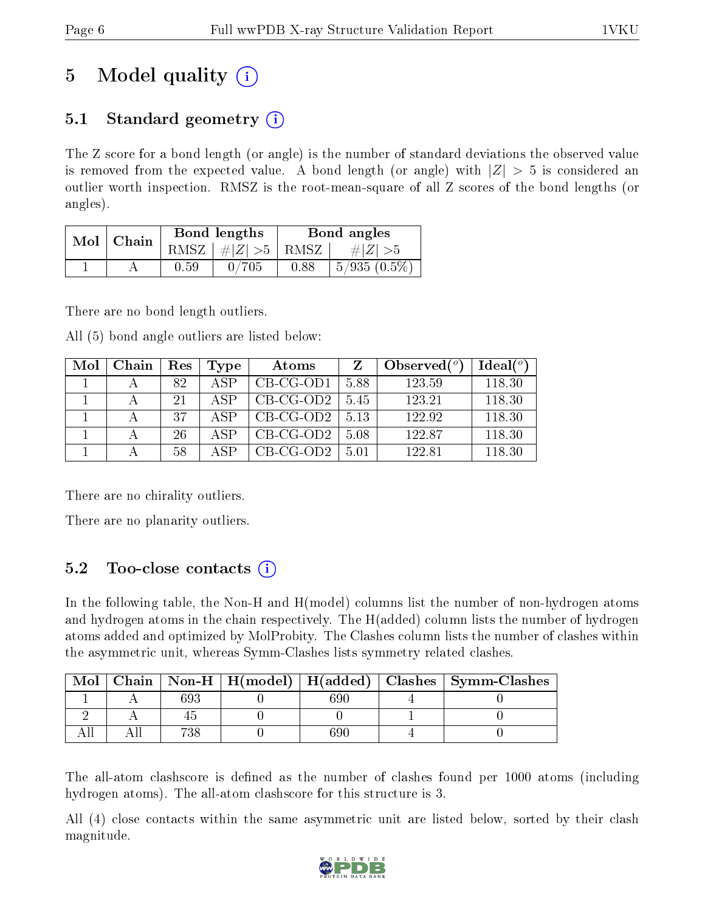# 5 Model quality  $(i)$

# 5.1 Standard geometry  $\overline{()}$

The Z score for a bond length (or angle) is the number of standard deviations the observed value is removed from the expected value. A bond length (or angle) with  $|Z| > 5$  is considered an outlier worth inspection. RMSZ is the root-mean-square of all Z scores of the bond lengths (or angles).

| Mol | Chain |          | Bond lengths | Bond angles |                |  |
|-----|-------|----------|--------------|-------------|----------------|--|
|     |       | RMSZ     | $\# Z  > 5$  | RMSZ        | $\# Z  > 5$    |  |
|     |       | $0.59\,$ | 0/705        | 0.88        | $5/935(0.5\%)$ |  |

There are no bond length outliers.

All (5) bond angle outliers are listed below:

| Mol | Chain | Res | Type | Atoms       |      | Observed $(°)$ | $\text{Ideal}({}^o)$ |
|-----|-------|-----|------|-------------|------|----------------|----------------------|
|     |       | 82  | A SP | $CB-CG-OD1$ | 5.88 | 123.59         | 118.30               |
|     |       | 21  | A SP | $CB-CG-OD2$ | 5.45 | 123.21         | 118.30               |
|     |       | 37  | A SP | $CB-CG-OD2$ | 5.13 | 122.92         | 118.30               |
|     |       | 26  | A SP | $CB-CG-OD2$ | 5.08 | 122.87         | 118.30               |
|     |       | 58  | ΔSΡ  | $CB-CG-OD2$ | 5 01 | 122.81         | 118.30               |

There are no chirality outliers.

There are no planarity outliers.

# $5.2$  Too-close contacts  $(i)$

In the following table, the Non-H and H(model) columns list the number of non-hydrogen atoms and hydrogen atoms in the chain respectively. The H(added) column lists the number of hydrogen atoms added and optimized by MolProbity. The Clashes column lists the number of clashes within the asymmetric unit, whereas Symm-Clashes lists symmetry related clashes.

| Mol |     |     | Chain   Non-H   $H(model)$   $H(added)$   Clashes   Symm-Clashes |
|-----|-----|-----|------------------------------------------------------------------|
|     | 693 | 39C |                                                                  |
|     |     |     |                                                                  |
|     | ოიი | ;90 |                                                                  |

The all-atom clashscore is defined as the number of clashes found per 1000 atoms (including hydrogen atoms). The all-atom clashscore for this structure is 3.

All (4) close contacts within the same asymmetric unit are listed below, sorted by their clash magnitude.

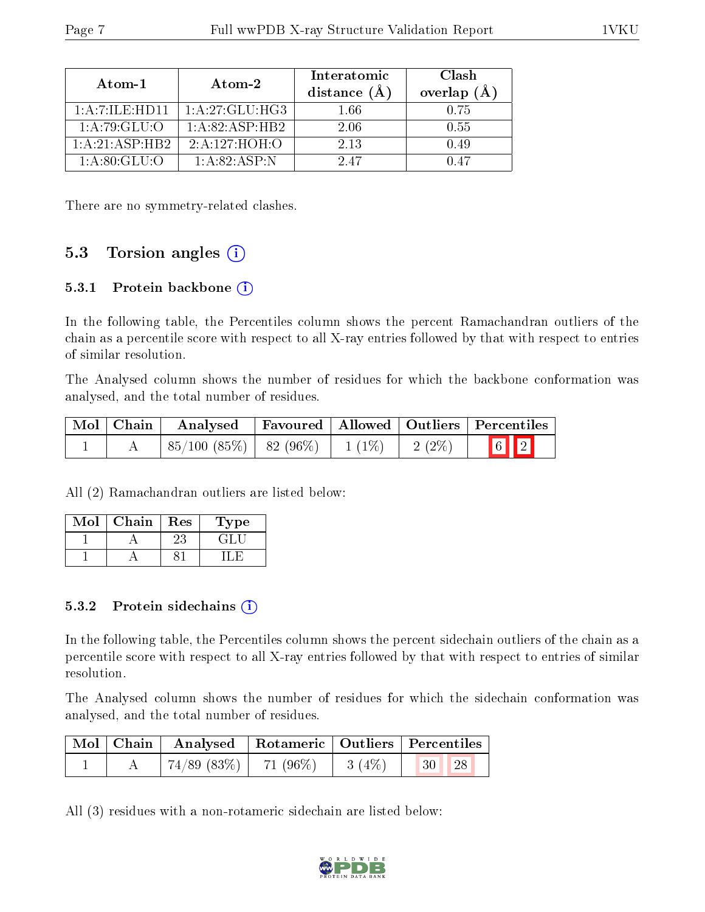| Atom-1                         | Atom-2            | Interatomic<br>distance $(\AA)$ | Clash<br>overlap $(A)$ |
|--------------------------------|-------------------|---------------------------------|------------------------|
| $1: A \cdot 7: ILE \cdot HD11$ | 1: A:27: GLU:H G3 | 1.66                            | 0.75                   |
| 1: A:79: GLU:O                 | 1:A:82:ASP:HB2    | 2.06                            | 0.55                   |
| 1: A:21: ASP:HB2               | 2:A:127:HOH:O     | 2.13                            | 0.49                   |
| 1: A:80: GLU:O                 | 1: A:82: ASP:N    | 247                             | O 47                   |

There are no symmetry-related clashes.

### 5.3 Torsion angles  $(i)$

#### 5.3.1 Protein backbone  $(i)$

In the following table, the Percentiles column shows the percent Ramachandran outliers of the chain as a percentile score with respect to all X-ray entries followed by that with respect to entries of similar resolution.

The Analysed column shows the number of residues for which the backbone conformation was analysed, and the total number of residues.

| $\mid$ Mol $\mid$ Chain | Analysed                                                  |  |          | Favoured   Allowed   Outliers   Percentiles |
|-------------------------|-----------------------------------------------------------|--|----------|---------------------------------------------|
|                         | $\mid 85/100 \; (85\%) \mid 82 \; (96\%) \mid 1 \; (1\%)$ |  | $2(2\%)$ | $\boxed{6}$ $\boxed{2}$                     |

All (2) Ramachandran outliers are listed below:

| Mol | ${\bf Chain}$ | Res | 1 ype |
|-----|---------------|-----|-------|
|     |               | 23  |       |
|     |               |     |       |

#### 5.3.2 Protein sidechains  $(i)$

In the following table, the Percentiles column shows the percent sidechain outliers of the chain as a percentile score with respect to all X-ray entries followed by that with respect to entries of similar resolution.

The Analysed column shows the number of residues for which the sidechain conformation was analysed, and the total number of residues.

|  | Mol   Chain   Analysed   Rotameric   Outliers   Percentiles |                        |                                                               |  |
|--|-------------------------------------------------------------|------------------------|---------------------------------------------------------------|--|
|  | $74/89$ (83%)   71 (96%)                                    | $\cdots$   3 (4\%)   . | $\begin{array}{ c c c c c }\n\hline\n & 30 & 28\n\end{array}$ |  |

All (3) residues with a non-rotameric sidechain are listed below:

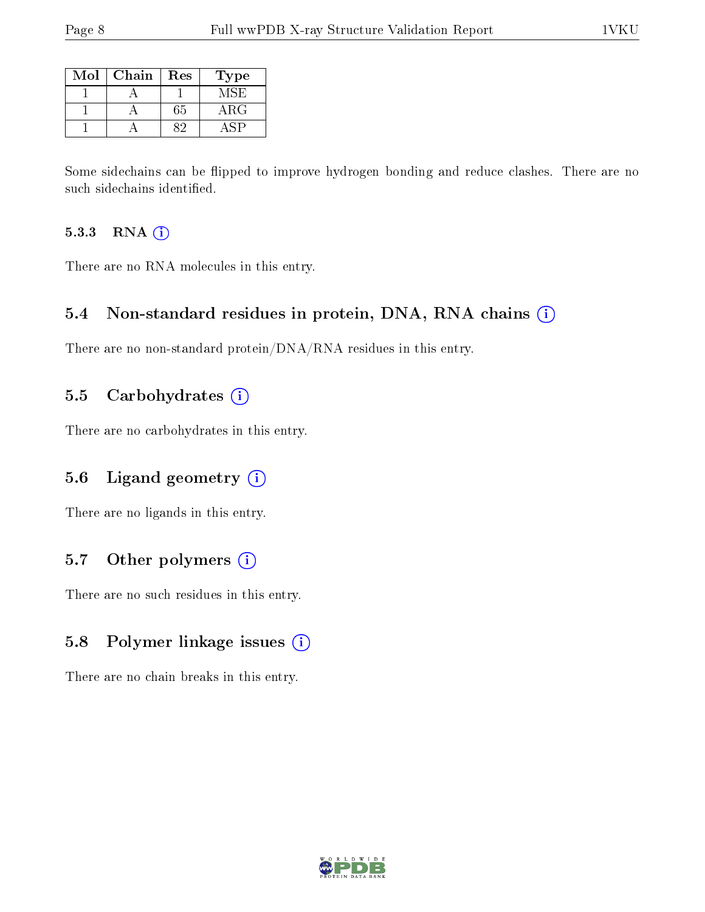| Mol | Chain | Res | 'Type |
|-----|-------|-----|-------|
|     |       |     | MSE)  |
|     |       | 65  | ARG   |
|     |       |     |       |

Some sidechains can be flipped to improve hydrogen bonding and reduce clashes. There are no such sidechains identified.

#### 5.3.3 RNA (i)

There are no RNA molecules in this entry.

### 5.4 Non-standard residues in protein, DNA, RNA chains (i)

There are no non-standard protein/DNA/RNA residues in this entry.

### 5.5 Carbohydrates  $(i)$

There are no carbohydrates in this entry.

# 5.6 Ligand geometry (i)

There are no ligands in this entry.

# 5.7 [O](https://www.wwpdb.org/validation/2017/XrayValidationReportHelp#nonstandard_residues_and_ligands)ther polymers (i)

There are no such residues in this entry.

# 5.8 Polymer linkage issues (i)

There are no chain breaks in this entry.